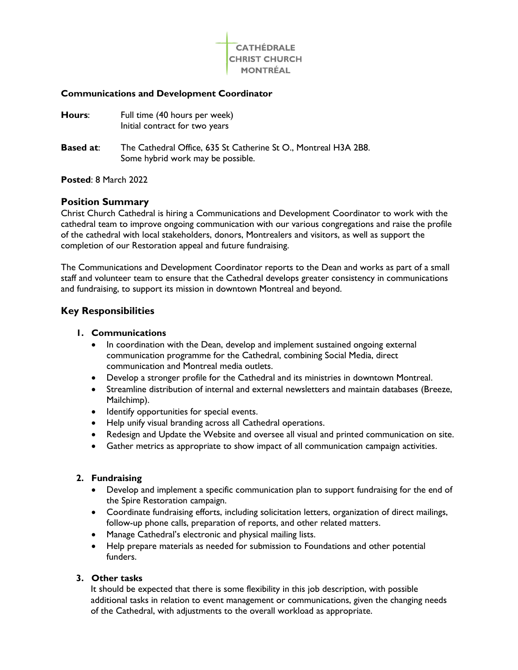

### **Communications and Development Coordinator**

| Hours:           | Full time (40 hours per week)<br>Initial contract for two years                                      |
|------------------|------------------------------------------------------------------------------------------------------|
| <b>Based at:</b> | The Cathedral Office, 635 St Catherine St O., Montreal H3A 2B8.<br>Some hybrid work may be possible. |

#### **Posted**: 8 March 2022

## **Position Summary**

Christ Church Cathedral is hiring a Communications and Development Coordinator to work with the cathedral team to improve ongoing communication with our various congregations and raise the profile of the cathedral with local stakeholders, donors, Montrealers and visitors, as well as support the completion of our Restoration appeal and future fundraising.

The Communications and Development Coordinator reports to the Dean and works as part of a small staff and volunteer team to ensure that the Cathedral develops greater consistency in communications and fundraising, to support its mission in downtown Montreal and beyond.

## **Key Responsibilities**

### **1. Communications**

- In coordination with the Dean, develop and implement sustained ongoing external communication programme for the Cathedral, combining Social Media, direct communication and Montreal media outlets.
- Develop a stronger profile for the Cathedral and its ministries in downtown Montreal.
- Streamline distribution of internal and external newsletters and maintain databases (Breeze, Mailchimp).
- Identify opportunities for special events.
- Help unify visual branding across all Cathedral operations.
- Redesign and Update the Website and oversee all visual and printed communication on site.
- Gather metrics as appropriate to show impact of all communication campaign activities.

### **2. Fundraising**

- Develop and implement a specific communication plan to support fundraising for the end of the Spire Restoration campaign.
- Coordinate fundraising efforts, including solicitation letters, organization of direct mailings, follow-up phone calls, preparation of reports, and other related matters.
- Manage Cathedral's electronic and physical mailing lists.
- Help prepare materials as needed for submission to Foundations and other potential funders.

# **3. Other tasks**

It should be expected that there is some flexibility in this job description, with possible additional tasks in relation to event management or communications, given the changing needs of the Cathedral, with adjustments to the overall workload as appropriate.